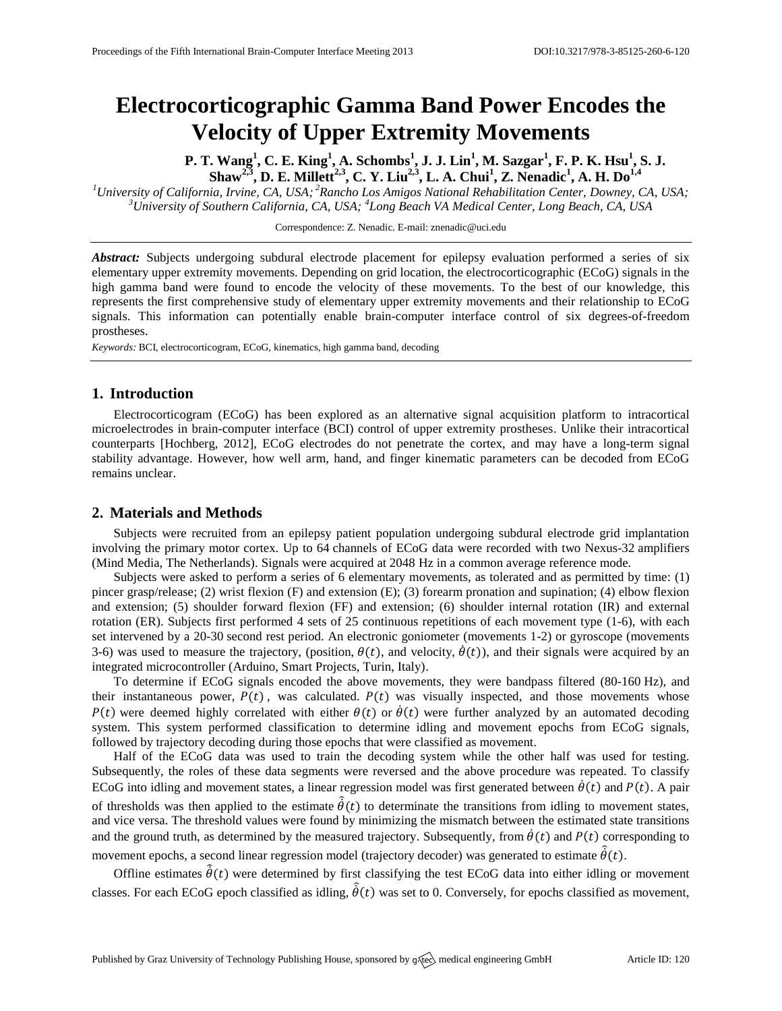# **Electrocorticographic Gamma Band Power Encodes the Velocity of Upper Extremity Movements**

P. T. Wang<sup>1</sup>, C. E. King<sup>1</sup>, A. Schombs<sup>1</sup>, J. J. Lin<sup>1</sup>, M. Sazgar<sup>1</sup>, F. P. K. Hsu<sup>1</sup>, S. J. Shaw<sup>2,3</sup>, D. E. Millett<sup>2,3</sup>, C. Y. Liu<sup>2,3</sup>, L. A. Chui<sup>1</sup>, Z. Nenadic<sup>1</sup>, A. H. Do<sup>1,4</sup>

*<sup>1</sup>University of California, Irvine, CA, USA; <sup>2</sup>Rancho Los Amigos National Rehabilitation Center, Downey, CA, USA; <sup>3</sup>University of Southern California, CA, USA; <sup>4</sup> Long Beach VA Medical Center, Long Beach, CA, USA*

Correspondence: Z. Nenadic. E-mail[: znenadic@uci.edu](mailto:znenadic@uci.edu)

*Abstract:* Subjects undergoing subdural electrode placement for epilepsy evaluation performed a series of six elementary upper extremity movements. Depending on grid location, the electrocorticographic (ECoG) signals in the high gamma band were found to encode the velocity of these movements. To the best of our knowledge, this represents the first comprehensive study of elementary upper extremity movements and their relationship to ECoG signals. This information can potentially enable brain-computer interface control of six degrees-of-freedom prostheses.

*Keywords:* BCI, electrocorticogram, ECoG, kinematics, high gamma band, decoding

## **1. Introduction**

Electrocorticogram (ECoG) has been explored as an alternative signal acquisition platform to intracortical microelectrodes in brain-computer interface (BCI) control of upper extremity prostheses. Unlike their intracortical counterparts [Hochberg, 2012], ECoG electrodes do not penetrate the cortex, and may have a long-term signal stability advantage. However, how well arm, hand, and finger kinematic parameters can be decoded from ECoG remains unclear.

# **2. Materials and Methods**

Subjects were recruited from an epilepsy patient population undergoing subdural electrode grid implantation involving the primary motor cortex. Up to 64 channels of ECoG data were recorded with two Nexus-32 amplifiers (Mind Media, The Netherlands). Signals were acquired at 2048 Hz in a common average reference mode.

Subjects were asked to perform a series of 6 elementary movements, as tolerated and as permitted by time: (1) pincer grasp/release; (2) wrist flexion (F) and extension (E); (3) forearm pronation and supination; (4) elbow flexion and extension; (5) shoulder forward flexion (FF) and extension; (6) shoulder internal rotation (IR) and external rotation (ER). Subjects first performed 4 sets of 25 continuous repetitions of each movement type (1-6), with each set intervened by a 20-30 second rest period. An electronic goniometer (movements 1-2) or gyroscope (movements 3-6) was used to measure the trajectory, (position,  $\theta(t)$ , and velocity,  $\dot{\theta}(t)$ ), and their signals were acquired by an integrated microcontroller (Arduino, Smart Projects, Turin, Italy).

To determine if ECoG signals encoded the above movements, they were bandpass filtered (80-160 Hz), and their instantaneous power,  $P(t)$ , was calculated.  $P(t)$  was visually inspected, and those movements whose  $P(t)$  were deemed highly correlated with either  $\theta(t)$  or  $\dot{\theta}(t)$  were further analyzed by an automated decoding system. This system performed classification to determine idling and movement epochs from ECoG signals, followed by trajectory decoding during those epochs that were classified as movement.

Half of the ECoG data was used to train the decoding system while the other half was used for testing. Subsequently, the roles of these data segments were reversed and the above procedure was repeated. To classify ECoG into idling and movement states, a linear regression model was first generated between  $\dot{\theta}(t)$  and  $P(t)$ . A pair of thresholds was then applied to the estimate  $\hat{\theta}(t)$  to determinate the transitions from idling to movement states, and vice versa. The threshold values were found by minimizing the mismatch between the estimated state transitions and the ground truth, as determined by the measured trajectory. Subsequently, from  $\dot{\theta}(t)$  and  $P(t)$  corresponding to movement epochs, a second linear regression model (trajectory decoder) was generated to estimate  $\hat{\theta}(t)$ .

Offline estimates  $\hat{\theta}(t)$  were determined by first classifying the test ECoG data into either idling or movement classes. For each ECoG epoch classified as idling,  $\hat{\theta}(t)$  was set to 0. Conversely, for epochs classified as movement,